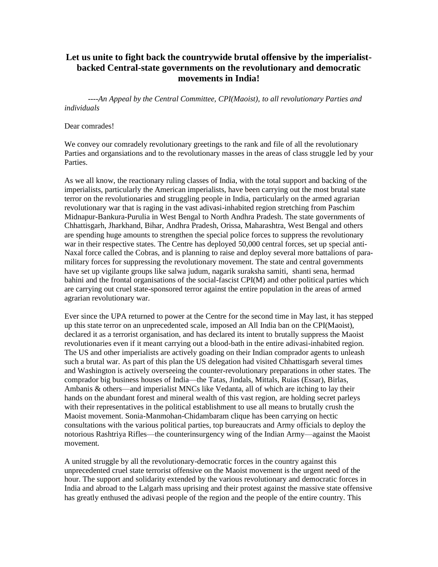## **Let us unite to fight back the countrywide brutal offensive by the imperialistbacked Central-state governments on the revolutionary and democratic movements in India!**

 *----An Appeal by the Central Committee, CPI(Maoist), to all revolutionary Parties and individuals*

## Dear comrades!

We convey our comradely revolutionary greetings to the rank and file of all the revolutionary Parties and organsiations and to the revolutionary masses in the areas of class struggle led by your Parties.

As we all know, the reactionary ruling classes of India, with the total support and backing of the imperialists, particularly the American imperialists, have been carrying out the most brutal state terror on the revolutionaries and struggling people in India, particularly on the armed agrarian revolutionary war that is raging in the vast adivasi-inhabited region stretching from Paschim Midnapur-Bankura-Purulia in West Bengal to North Andhra Pradesh. The state governments of Chhattisgarh, Jharkhand, Bihar, Andhra Pradesh, Orissa, Maharashtra, West Bengal and others are spending huge amounts to strengthen the special police forces to suppress the revolutionary war in their respective states. The Centre has deployed 50,000 central forces, set up special anti-Naxal force called the Cobras, and is planning to raise and deploy several more battalions of paramilitary forces for suppressing the revolutionary movement. The state and central governments have set up vigilante groups like salwa judum, nagarik suraksha samiti, shanti sena, hermad bahini and the frontal organisations of the social-fascist CPI(M) and other political parties which are carrying out cruel state-sponsored terror against the entire population in the areas of armed agrarian revolutionary war.

Ever since the UPA returned to power at the Centre for the second time in May last, it has stepped up this state terror on an unprecedented scale, imposed an All India ban on the CPI(Maoist), declared it as a terrorist organisation, and has declared its intent to brutally suppress the Maoist revolutionaries even if it meant carrying out a blood-bath in the entire adivasi-inhabited region. The US and other imperialists are actively goading on their Indian comprador agents to unleash such a brutal war. As part of this plan the US delegation had visited Chhattisgarh several times and Washington is actively overseeing the counter-revolutionary preparations in other states. The comprador big business houses of India—the Tatas, Jindals, Mittals, Ruias (Essar), Birlas, Ambanis & others—and imperialist MNCs like Vedanta, all of which are itching to lay their hands on the abundant forest and mineral wealth of this vast region, are holding secret parleys with their representatives in the political establishment to use all means to brutally crush the Maoist movement. Sonia-Manmohan-Chidambaram clique has been carrying on hectic consultations with the various political parties, top bureaucrats and Army officials to deploy the notorious Rashtriya Rifles—the counterinsurgency wing of the Indian Army—against the Maoist movement.

A united struggle by all the revolutionary-democratic forces in the country against this unprecedented cruel state terrorist offensive on the Maoist movement is the urgent need of the hour. The support and solidarity extended by the various revolutionary and democratic forces in India and abroad to the Lalgarh mass uprising and their protest against the massive state offensive has greatly enthused the adivasi people of the region and the people of the entire country. This